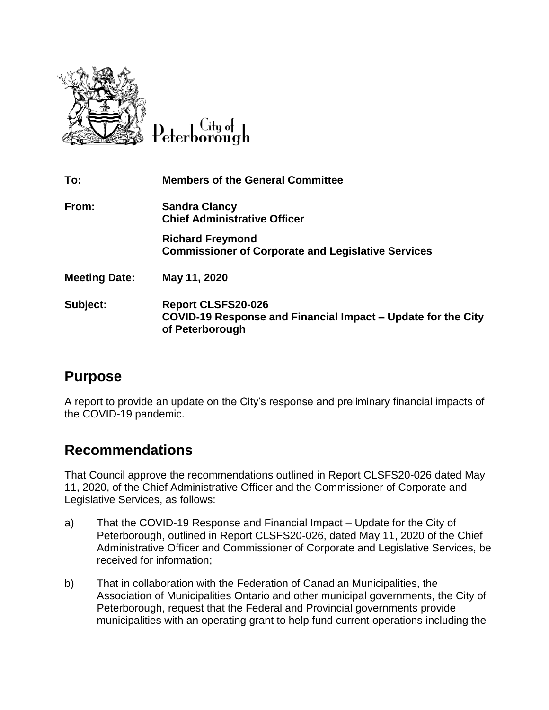

 $C<sub>ltu</sub>$  of eterborough

| To:                  | <b>Members of the General Committee</b>                                                                      |
|----------------------|--------------------------------------------------------------------------------------------------------------|
| From:                | <b>Sandra Clancy</b><br><b>Chief Administrative Officer</b>                                                  |
|                      | <b>Richard Freymond</b><br><b>Commissioner of Corporate and Legislative Services</b>                         |
| <b>Meeting Date:</b> | May 11, 2020                                                                                                 |
| Subject:             | <b>Report CLSFS20-026</b><br>COVID-19 Response and Financial Impact – Update for the City<br>of Peterborough |

# **Purpose**

A report to provide an update on the City's response and preliminary financial impacts of the COVID-19 pandemic.

# **Recommendations**

That Council approve the recommendations outlined in Report CLSFS20-026 dated May 11, 2020, of the Chief Administrative Officer and the Commissioner of Corporate and Legislative Services, as follows:

- a) That the COVID-19 Response and Financial Impact Update for the City of Peterborough, outlined in Report CLSFS20-026, dated May 11, 2020 of the Chief Administrative Officer and Commissioner of Corporate and Legislative Services, be received for information;
- b) That in collaboration with the Federation of Canadian Municipalities, the Association of Municipalities Ontario and other municipal governments, the City of Peterborough, request that the Federal and Provincial governments provide municipalities with an operating grant to help fund current operations including the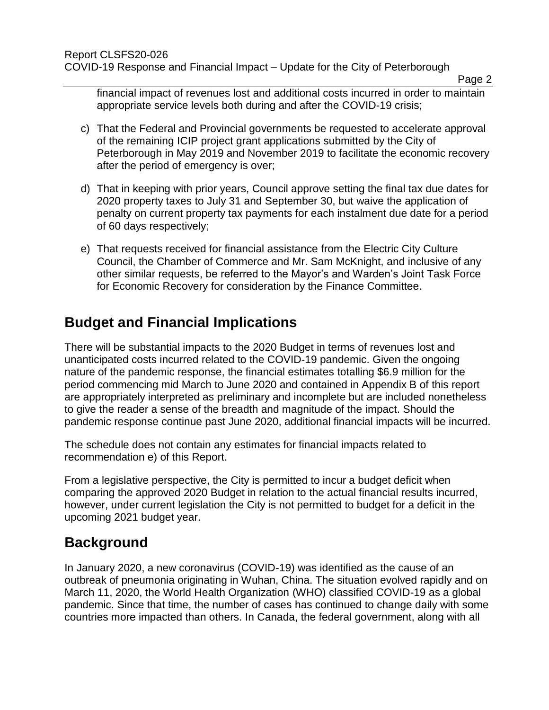financial impact of revenues lost and additional costs incurred in order to maintain appropriate service levels both during and after the COVID-19 crisis;

- c) That the Federal and Provincial governments be requested to accelerate approval of the remaining ICIP project grant applications submitted by the City of Peterborough in May 2019 and November 2019 to facilitate the economic recovery after the period of emergency is over;
- d) That in keeping with prior years, Council approve setting the final tax due dates for 2020 property taxes to July 31 and September 30, but waive the application of penalty on current property tax payments for each instalment due date for a period of 60 days respectively;
- e) That requests received for financial assistance from the Electric City Culture Council, the Chamber of Commerce and Mr. Sam McKnight, and inclusive of any other similar requests, be referred to the Mayor's and Warden's Joint Task Force for Economic Recovery for consideration by the Finance Committee.

# **Budget and Financial Implications**

There will be substantial impacts to the 2020 Budget in terms of revenues lost and unanticipated costs incurred related to the COVID-19 pandemic. Given the ongoing nature of the pandemic response, the financial estimates totalling \$6.9 million for the period commencing mid March to June 2020 and contained in Appendix B of this report are appropriately interpreted as preliminary and incomplete but are included nonetheless to give the reader a sense of the breadth and magnitude of the impact. Should the pandemic response continue past June 2020, additional financial impacts will be incurred.

The schedule does not contain any estimates for financial impacts related to recommendation e) of this Report.

From a legislative perspective, the City is permitted to incur a budget deficit when comparing the approved 2020 Budget in relation to the actual financial results incurred, however, under current legislation the City is not permitted to budget for a deficit in the upcoming 2021 budget year.

# **Background**

In January 2020, a new coronavirus (COVID-19) was identified as the cause of an outbreak of pneumonia originating in Wuhan, China. The situation evolved rapidly and on March 11, 2020, the World Health Organization (WHO) classified COVID-19 as a global pandemic. Since that time, the number of cases has continued to change daily with some countries more impacted than others. In Canada, the federal government, along with all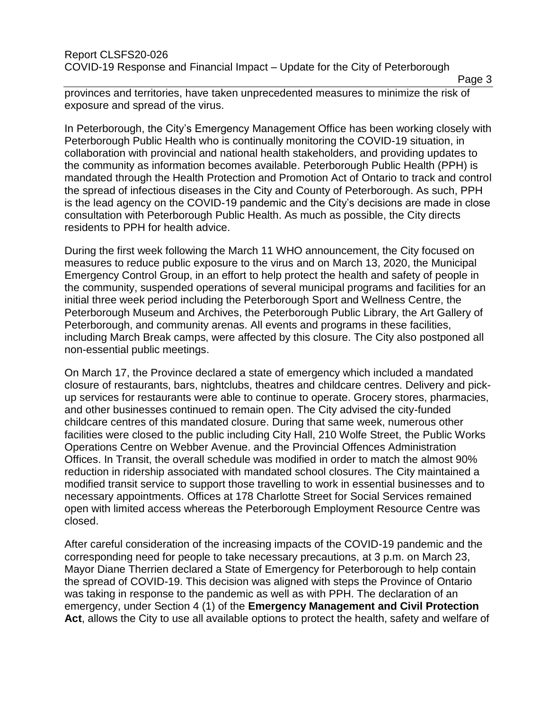Page 3

provinces and territories, have taken unprecedented measures to minimize the risk of exposure and spread of the virus.

In Peterborough, the City's Emergency Management Office has been working closely with Peterborough Public Health who is continually monitoring the COVID-19 situation, in collaboration with provincial and national health stakeholders, and providing updates to the community as information becomes available. Peterborough Public Health (PPH) is mandated through the Health Protection and Promotion Act of Ontario to track and control the spread of infectious diseases in the City and County of Peterborough. As such, PPH is the lead agency on the COVID-19 pandemic and the City's decisions are made in close consultation with Peterborough Public Health. As much as possible, the City directs residents to PPH for health advice.

During the first week following the March 11 WHO announcement, the City focused on measures to reduce public exposure to the virus and on March 13, 2020, the Municipal Emergency Control Group, in an effort to help protect the health and safety of people in the community, suspended operations of several municipal programs and facilities for an initial three week period including the Peterborough Sport and Wellness Centre, the Peterborough Museum and Archives, the Peterborough Public Library, the Art Gallery of Peterborough, and community arenas. All events and programs in these facilities, including March Break camps, were affected by this closure. The City also postponed all non-essential public meetings.

On March 17, the Province declared a state of emergency which included a mandated closure of restaurants, bars, nightclubs, theatres and childcare centres. Delivery and pickup services for restaurants were able to continue to operate. Grocery stores, pharmacies, and other businesses continued to remain open. The City advised the city-funded childcare centres of this mandated closure. During that same week, numerous other facilities were closed to the public including City Hall, 210 Wolfe Street, the Public Works Operations Centre on Webber Avenue. and the Provincial Offences Administration Offices. In Transit, the overall schedule was modified in order to match the almost 90% reduction in ridership associated with mandated school closures. The City maintained a modified transit service to support those travelling to work in essential businesses and to necessary appointments. Offices at 178 Charlotte Street for Social Services remained open with limited access whereas the Peterborough Employment Resource Centre was closed.

After careful consideration of the increasing impacts of the COVID-19 pandemic and the corresponding need for people to take necessary precautions, at 3 p.m. on March 23, Mayor Diane Therrien declared a State of Emergency for Peterborough to help contain the spread of COVID-19. This decision was aligned with steps the Province of Ontario was taking in response to the pandemic as well as with PPH. The declaration of an emergency, under Section 4 (1) of the **Emergency Management and Civil Protection Act**, allows the City to use all available options to protect the health, safety and welfare of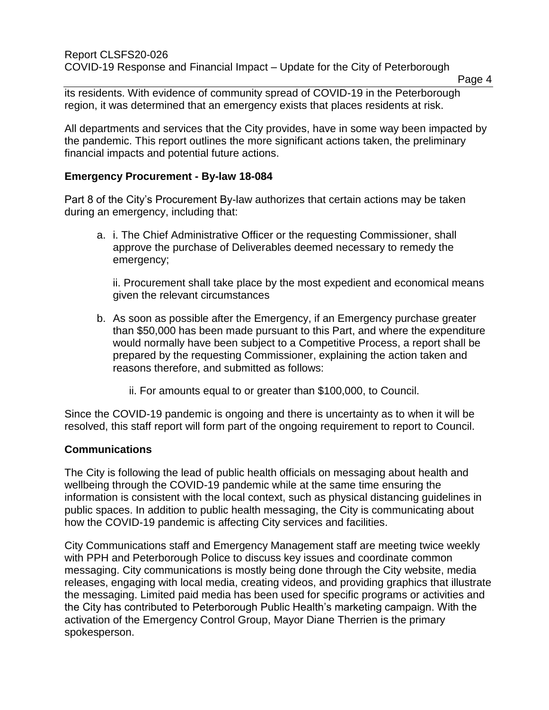its residents. With evidence of community spread of COVID-19 in the Peterborough region, it was determined that an emergency exists that places residents at risk.

All departments and services that the City provides, have in some way been impacted by the pandemic. This report outlines the more significant actions taken, the preliminary financial impacts and potential future actions.

#### **Emergency Procurement - By-law 18-084**

Part 8 of the City's Procurement By-law authorizes that certain actions may be taken during an emergency, including that:

a. i. The Chief Administrative Officer or the requesting Commissioner, shall approve the purchase of Deliverables deemed necessary to remedy the emergency;

ii. Procurement shall take place by the most expedient and economical means given the relevant circumstances

- b. As soon as possible after the Emergency, if an Emergency purchase greater than \$50,000 has been made pursuant to this Part, and where the expenditure would normally have been subject to a Competitive Process, a report shall be prepared by the requesting Commissioner, explaining the action taken and reasons therefore, and submitted as follows:
	- ii. For amounts equal to or greater than \$100,000, to Council.

Since the COVID-19 pandemic is ongoing and there is uncertainty as to when it will be resolved, this staff report will form part of the ongoing requirement to report to Council.

#### **Communications**

The City is following the lead of public health officials on messaging about health and wellbeing through the COVID-19 pandemic while at the same time ensuring the information is consistent with the local context, such as physical distancing guidelines in public spaces. In addition to public health messaging, the City is communicating about how the COVID-19 pandemic is affecting City services and facilities.

City Communications staff and Emergency Management staff are meeting twice weekly with PPH and Peterborough Police to discuss key issues and coordinate common messaging. City communications is mostly being done through the City website, media releases, engaging with local media, creating videos, and providing graphics that illustrate the messaging. Limited paid media has been used for specific programs or activities and the City has contributed to Peterborough Public Health's marketing campaign. With the activation of the Emergency Control Group, Mayor Diane Therrien is the primary spokesperson.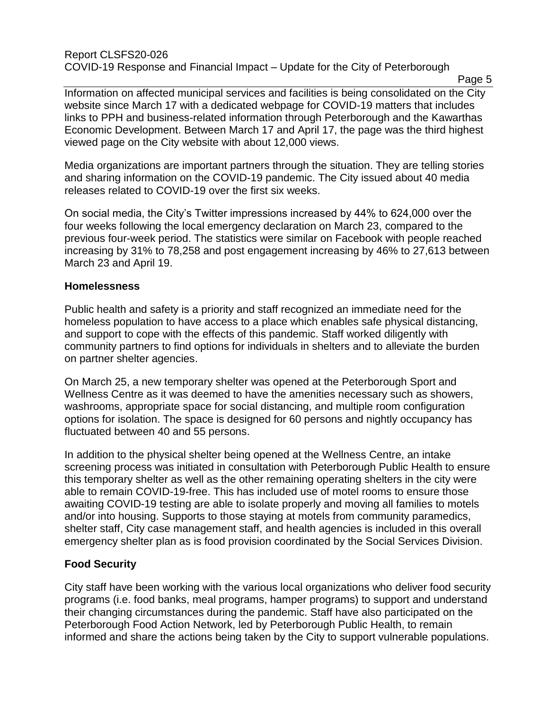#### Report CLSFS20-026 COVID-19 Response and Financial Impact – Update for the City of Peterborough

Page 5

Information on affected municipal services and facilities is being consolidated on the City website since March 17 with a dedicated webpage for COVID-19 matters that includes links to PPH and business-related information through Peterborough and the Kawarthas Economic Development. Between March 17 and April 17, the page was the third highest viewed page on the City website with about 12,000 views.

Media organizations are important partners through the situation. They are telling stories and sharing information on the COVID-19 pandemic. The City issued about 40 media releases related to COVID-19 over the first six weeks.

On social media, the City's Twitter impressions increased by 44% to 624,000 over the four weeks following the local emergency declaration on March 23, compared to the previous four-week period. The statistics were similar on Facebook with people reached increasing by 31% to 78,258 and post engagement increasing by 46% to 27,613 between March 23 and April 19.

### **Homelessness**

Public health and safety is a priority and staff recognized an immediate need for the homeless population to have access to a place which enables safe physical distancing, and support to cope with the effects of this pandemic. Staff worked diligently with community partners to find options for individuals in shelters and to alleviate the burden on partner shelter agencies.

On March 25, a new temporary shelter was opened at the Peterborough Sport and Wellness Centre as it was deemed to have the amenities necessary such as showers, washrooms, appropriate space for social distancing, and multiple room configuration options for isolation. The space is designed for 60 persons and nightly occupancy has fluctuated between 40 and 55 persons.

In addition to the physical shelter being opened at the Wellness Centre, an intake screening process was initiated in consultation with Peterborough Public Health to ensure this temporary shelter as well as the other remaining operating shelters in the city were able to remain COVID-19-free. This has included use of motel rooms to ensure those awaiting COVID-19 testing are able to isolate properly and moving all families to motels and/or into housing. Supports to those staying at motels from community paramedics, shelter staff, City case management staff, and health agencies is included in this overall emergency shelter plan as is food provision coordinated by the Social Services Division.

### **Food Security**

City staff have been working with the various local organizations who deliver food security programs (i.e. food banks, meal programs, hamper programs) to support and understand their changing circumstances during the pandemic. Staff have also participated on the Peterborough Food Action Network, led by Peterborough Public Health, to remain informed and share the actions being taken by the City to support vulnerable populations.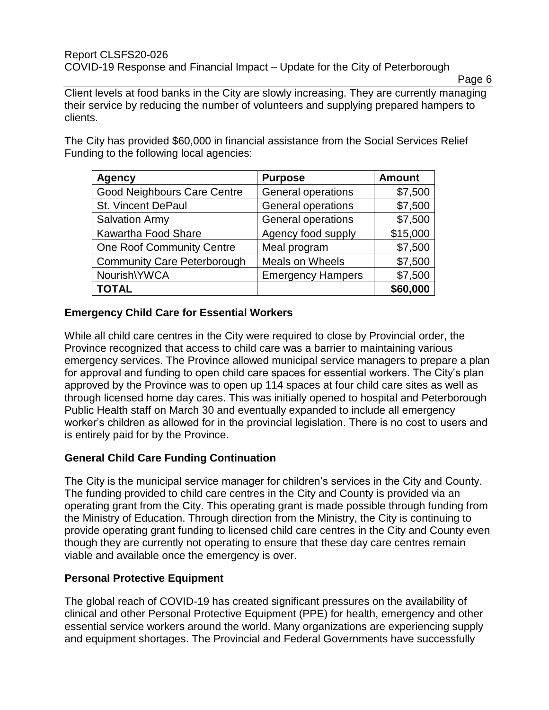#### Report CLSFS20-026 COVID-19 Response and Financial Impact – Update for the City of Peterborough

Page 6

Client levels at food banks in the City are slowly increasing. They are currently managing their service by reducing the number of volunteers and supplying prepared hampers to clients.

The City has provided \$60,000 in financial assistance from the Social Services Relief Funding to the following local agencies:

| <b>Agency</b>                      | <b>Purpose</b>            | <b>Amount</b> |
|------------------------------------|---------------------------|---------------|
| <b>Good Neighbours Care Centre</b> | General operations        | \$7,500       |
| <b>St. Vincent DePaul</b>          | General operations        | \$7,500       |
| <b>Salvation Army</b>              | <b>General operations</b> | \$7,500       |
| Kawartha Food Share                | Agency food supply        | \$15,000      |
| <b>One Roof Community Centre</b>   | Meal program              | \$7,500       |
| <b>Community Care Peterborough</b> | Meals on Wheels           | \$7,500       |
| Nourish\YWCA                       | <b>Emergency Hampers</b>  | \$7,500       |
| <b>TOTAL</b>                       |                           | \$60,000      |

# **Emergency Child Care for Essential Workers**

While all child care centres in the City were required to close by Provincial order, the Province recognized that access to child care was a barrier to maintaining various emergency services. The Province allowed municipal service managers to prepare a plan for approval and funding to open child care spaces for essential workers. The City's plan approved by the Province was to open up 114 spaces at four child care sites as well as through licensed home day cares. This was initially opened to hospital and Peterborough Public Health staff on March 30 and eventually expanded to include all emergency worker's children as allowed for in the provincial legislation. There is no cost to users and is entirely paid for by the Province.

# **General Child Care Funding Continuation**

The City is the municipal service manager for children's services in the City and County. The funding provided to child care centres in the City and County is provided via an operating grant from the City. This operating grant is made possible through funding from the Ministry of Education. Through direction from the Ministry, the City is continuing to provide operating grant funding to licensed child care centres in the City and County even though they are currently not operating to ensure that these day care centres remain viable and available once the emergency is over.

### **Personal Protective Equipment**

The global reach of COVID-19 has created significant pressures on the availability of clinical and other Personal Protective Equipment (PPE) for health, emergency and other essential service workers around the world. Many organizations are experiencing supply and equipment shortages. The Provincial and Federal Governments have successfully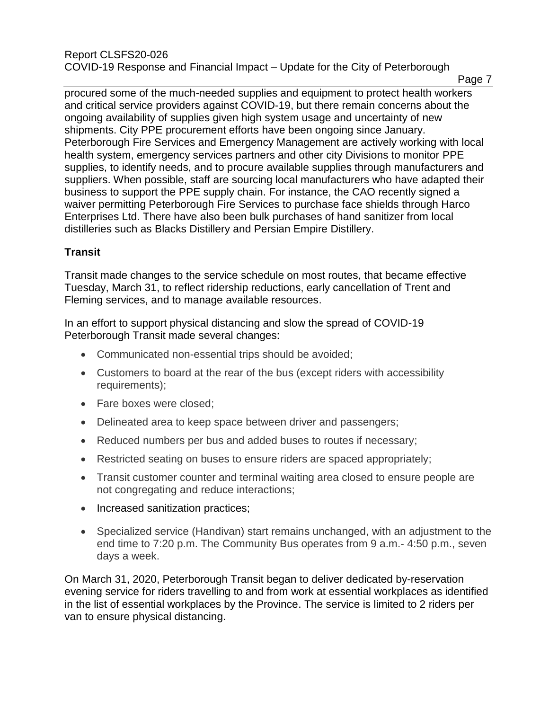procured some of the much-needed supplies and equipment to protect health workers and critical service providers against COVID-19, but there remain concerns about the ongoing availability of supplies given high system usage and uncertainty of new shipments. City PPE procurement efforts have been ongoing since January. Peterborough Fire Services and Emergency Management are actively working with local health system, emergency services partners and other city Divisions to monitor PPE supplies, to identify needs, and to procure available supplies through manufacturers and suppliers. When possible, staff are sourcing local manufacturers who have adapted their business to support the PPE supply chain. For instance, the CAO recently signed a waiver permitting Peterborough Fire Services to purchase face shields through Harco Enterprises Ltd. There have also been bulk purchases of hand sanitizer from local distilleries such as Blacks Distillery and Persian Empire Distillery.

# **Transit**

Transit made changes to the service schedule on most routes, that became effective Tuesday, March 31, to reflect ridership reductions, early cancellation of Trent and Fleming services, and to manage available resources.

In an effort to support physical distancing and slow the spread of COVID-19 Peterborough Transit made several changes:

- Communicated non-essential trips should be avoided;
- Customers to board at the rear of the bus (except riders with accessibility requirements);
- Fare boxes were closed;
- Delineated area to keep space between driver and passengers;
- Reduced numbers per bus and added buses to routes if necessary;
- Restricted seating on buses to ensure riders are spaced appropriately;
- Transit customer counter and terminal waiting area closed to ensure people are not congregating and reduce interactions;
- Increased sanitization practices;
- Specialized service (Handivan) start remains unchanged, with an adjustment to the end time to 7:20 p.m. The Community Bus operates from 9 a.m.- 4:50 p.m., seven days a week.

On March 31, 2020, Peterborough Transit began to deliver dedicated by-reservation evening service for riders travelling to and from work at essential workplaces as identified in the list of essential workplaces by the Province. The service is limited to 2 riders per van to ensure physical distancing.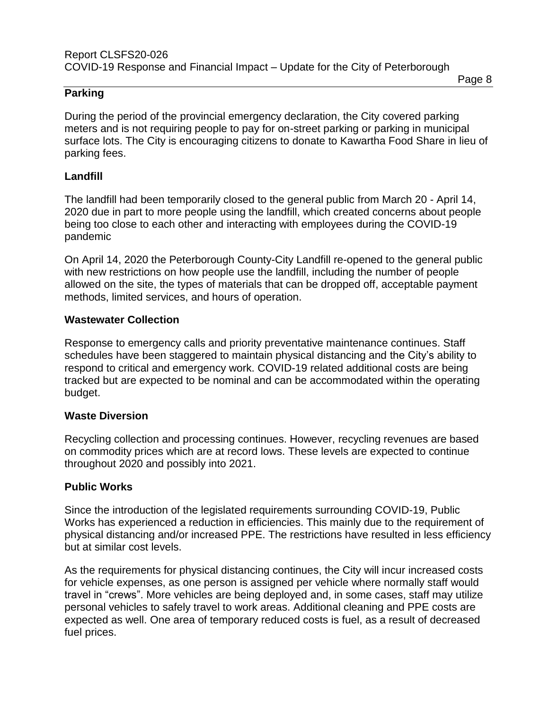#### **Parking**

During the period of the provincial emergency declaration, the City covered parking meters and is not requiring people to pay for on-street parking or parking in municipal surface lots. The City is encouraging citizens to donate to Kawartha Food Share in lieu of parking fees.

#### **Landfill**

The landfill had been temporarily closed to the general public from March 20 - April 14, 2020 due in part to more people using the landfill, which created concerns about people being too close to each other and interacting with employees during the COVID-19 pandemic

On April 14, 2020 the Peterborough County-City Landfill re-opened to the general public with new restrictions on how people use the landfill, including the number of people allowed on the site, the types of materials that can be dropped off, acceptable payment methods, limited services, and hours of operation.

#### **Wastewater Collection**

Response to emergency calls and priority preventative maintenance continues. Staff schedules have been staggered to maintain physical distancing and the City's ability to respond to critical and emergency work. COVID-19 related additional costs are being tracked but are expected to be nominal and can be accommodated within the operating budget.

#### **Waste Diversion**

Recycling collection and processing continues. However, recycling revenues are based on commodity prices which are at record lows. These levels are expected to continue throughout 2020 and possibly into 2021.

### **Public Works**

Since the introduction of the legislated requirements surrounding COVID-19, Public Works has experienced a reduction in efficiencies. This mainly due to the requirement of physical distancing and/or increased PPE. The restrictions have resulted in less efficiency but at similar cost levels.

As the requirements for physical distancing continues, the City will incur increased costs for vehicle expenses, as one person is assigned per vehicle where normally staff would travel in "crews". More vehicles are being deployed and, in some cases, staff may utilize personal vehicles to safely travel to work areas. Additional cleaning and PPE costs are expected as well. One area of temporary reduced costs is fuel, as a result of decreased fuel prices.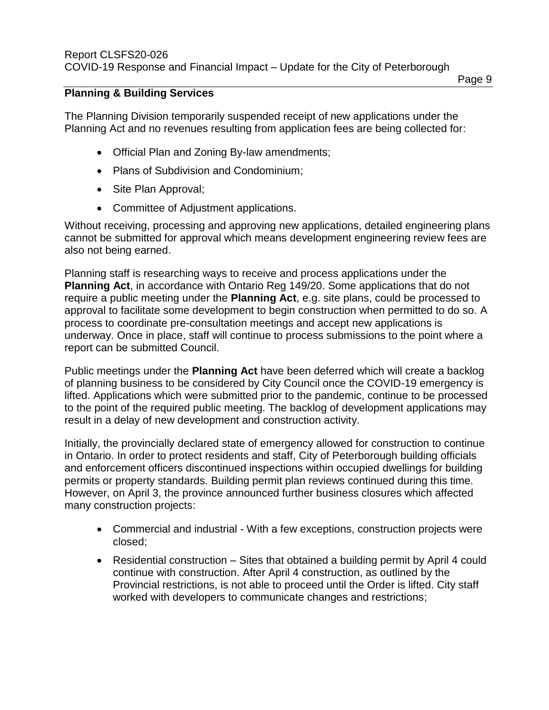#### **Planning & Building Services**

The Planning Division temporarily suspended receipt of new applications under the Planning Act and no revenues resulting from application fees are being collected for:

- Official Plan and Zoning By-law amendments;
- Plans of Subdivision and Condominium;
- Site Plan Approval;
- Committee of Adjustment applications.

Without receiving, processing and approving new applications, detailed engineering plans cannot be submitted for approval which means development engineering review fees are also not being earned.

Planning staff is researching ways to receive and process applications under the **Planning Act**, in accordance with Ontario Reg 149/20. Some applications that do not require a public meeting under the **Planning Act**, e.g. site plans, could be processed to approval to facilitate some development to begin construction when permitted to do so. A process to coordinate pre-consultation meetings and accept new applications is underway. Once in place, staff will continue to process submissions to the point where a report can be submitted Council.

Public meetings under the **Planning Act** have been deferred which will create a backlog of planning business to be considered by City Council once the COVID-19 emergency is lifted. Applications which were submitted prior to the pandemic, continue to be processed to the point of the required public meeting. The backlog of development applications may result in a delay of new development and construction activity.

Initially, the provincially declared state of emergency allowed for construction to continue in Ontario. In order to protect residents and staff, City of Peterborough building officials and enforcement officers discontinued inspections within occupied dwellings for building permits or property standards. Building permit plan reviews continued during this time. However, on April 3, the province announced further business closures which affected many construction projects:

- Commercial and industrial With a few exceptions, construction projects were closed;
- Residential construction Sites that obtained a building permit by April 4 could continue with construction. After April 4 construction, as outlined by the Provincial restrictions, is not able to proceed until the Order is lifted. City staff worked with developers to communicate changes and restrictions;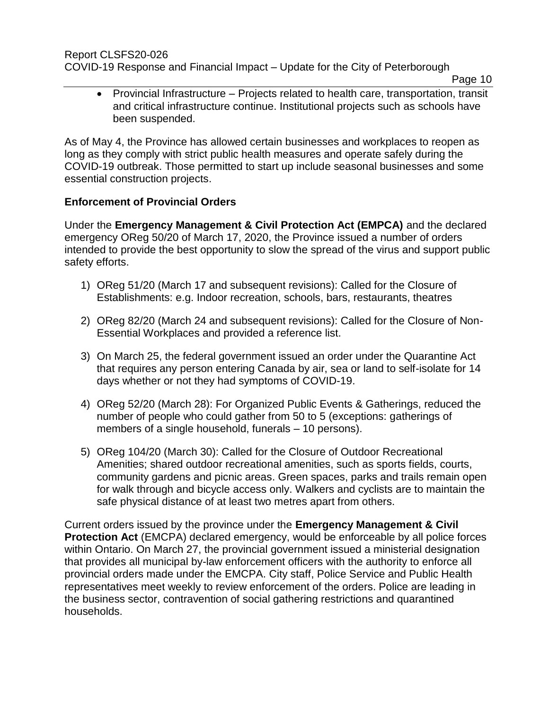Report CLSFS20-026

COVID-19 Response and Financial Impact – Update for the City of Peterborough

Page 10

 Provincial Infrastructure – Projects related to health care, transportation, transit and critical infrastructure continue. Institutional projects such as schools have been suspended.

As of May 4, the Province has allowed certain businesses and workplaces to reopen as long as they comply with strict public health measures and operate safely during the COVID-19 outbreak. Those permitted to start up include seasonal businesses and some essential construction projects.

# **Enforcement of Provincial Orders**

Under the **Emergency Management & Civil Protection Act (EMPCA)** and the declared emergency OReg 50/20 of March 17, 2020, the Province issued a number of orders intended to provide the best opportunity to slow the spread of the virus and support public safety efforts.

- 1) OReg 51/20 (March 17 and subsequent revisions): Called for the Closure of Establishments: e.g. Indoor recreation, schools, bars, restaurants, theatres
- 2) OReg 82/20 (March 24 and subsequent revisions): Called for the Closure of Non-Essential Workplaces and provided a reference list.
- 3) On March 25, the federal government issued an order under the Quarantine Act that requires any person entering Canada by air, sea or land to self-isolate for 14 days whether or not they had symptoms of COVID-19.
- 4) OReg 52/20 (March 28): For Organized Public Events & Gatherings, reduced the number of people who could gather from 50 to 5 (exceptions: gatherings of members of a single household, funerals – 10 persons).
- 5) OReg 104/20 (March 30): Called for the Closure of Outdoor Recreational Amenities; shared outdoor recreational amenities, such as sports fields, courts, community gardens and picnic areas. Green spaces, parks and trails remain open for walk through and bicycle access only. Walkers and cyclists are to maintain the safe physical distance of at least two metres apart from others.

Current orders issued by the province under the **Emergency Management & Civil Protection Act** (EMCPA) declared emergency, would be enforceable by all police forces within Ontario. On March 27, the provincial government issued a ministerial designation that provides all municipal by-law enforcement officers with the authority to enforce all provincial orders made under the EMCPA. City staff, Police Service and Public Health representatives meet weekly to review enforcement of the orders. Police are leading in the business sector, contravention of social gathering restrictions and quarantined households.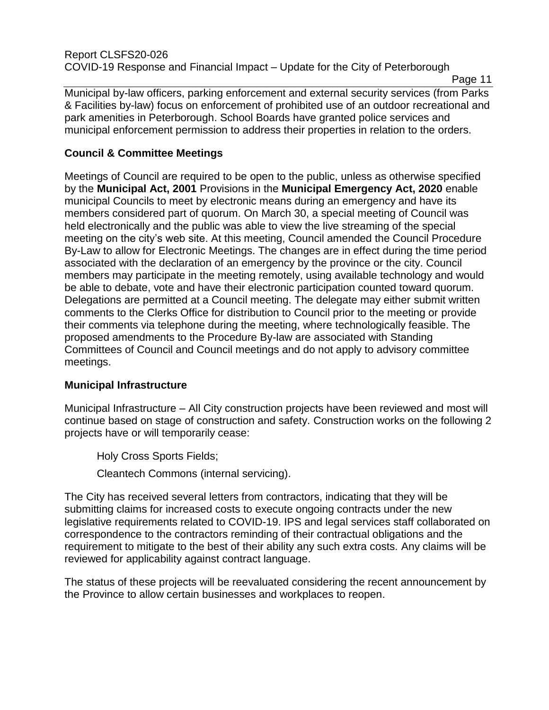Page 11

Municipal by-law officers, parking enforcement and external security services (from Parks & Facilities by-law) focus on enforcement of prohibited use of an outdoor recreational and park amenities in Peterborough. School Boards have granted police services and municipal enforcement permission to address their properties in relation to the orders.

# **Council & Committee Meetings**

Meetings of Council are required to be open to the public, unless as otherwise specified by the **Municipal Act, 2001** Provisions in the **Municipal Emergency Act, 2020** enable municipal Councils to meet by electronic means during an emergency and have its members considered part of quorum. On March 30, a special meeting of Council was held electronically and the public was able to view the live streaming of the special meeting on the city's web site. At this meeting, Council amended the Council Procedure By-Law to allow for Electronic Meetings. The changes are in effect during the time period associated with the declaration of an emergency by the province or the city. Council members may participate in the meeting remotely, using available technology and would be able to debate, vote and have their electronic participation counted toward quorum. Delegations are permitted at a Council meeting. The delegate may either submit written comments to the Clerks Office for distribution to Council prior to the meeting or provide their comments via telephone during the meeting, where technologically feasible. The proposed amendments to the Procedure By-law are associated with Standing Committees of Council and Council meetings and do not apply to advisory committee meetings.

# **Municipal Infrastructure**

Municipal Infrastructure – All City construction projects have been reviewed and most will continue based on stage of construction and safety. Construction works on the following 2 projects have or will temporarily cease:

Holy Cross Sports Fields;

Cleantech Commons (internal servicing).

The City has received several letters from contractors, indicating that they will be submitting claims for increased costs to execute ongoing contracts under the new legislative requirements related to COVID-19. IPS and legal services staff collaborated on correspondence to the contractors reminding of their contractual obligations and the requirement to mitigate to the best of their ability any such extra costs. Any claims will be reviewed for applicability against contract language.

The status of these projects will be reevaluated considering the recent announcement by the Province to allow certain businesses and workplaces to reopen.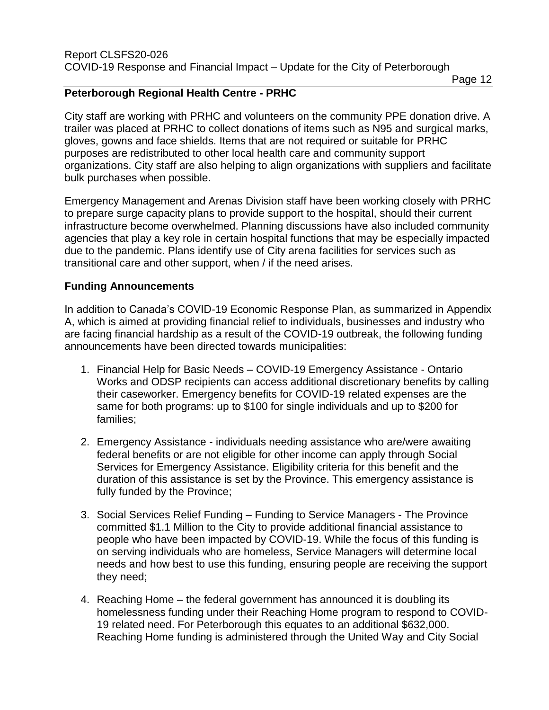### **Peterborough Regional Health Centre - PRHC**

City staff are working with PRHC and volunteers on the community PPE donation drive. A trailer was placed at PRHC to collect donations of items such as N95 and surgical marks, gloves, gowns and face shields. Items that are not required or suitable for PRHC purposes are redistributed to other local health care and community support organizations. City staff are also helping to align organizations with suppliers and facilitate bulk purchases when possible.

Emergency Management and Arenas Division staff have been working closely with PRHC to prepare surge capacity plans to provide support to the hospital, should their current infrastructure become overwhelmed. Planning discussions have also included community agencies that play a key role in certain hospital functions that may be especially impacted due to the pandemic. Plans identify use of City arena facilities for services such as transitional care and other support, when / if the need arises.

### **Funding Announcements**

In addition to Canada's COVID-19 Economic Response Plan, as summarized in Appendix A, which is aimed at providing financial relief to individuals, businesses and industry who are facing financial hardship as a result of the COVID-19 outbreak, the following funding announcements have been directed towards municipalities:

- 1. Financial Help for Basic Needs COVID-19 Emergency Assistance Ontario Works and ODSP recipients can access additional discretionary benefits by calling their caseworker. Emergency benefits for COVID-19 related expenses are the same for both programs: up to \$100 for single individuals and up to \$200 for families;
- 2. Emergency Assistance individuals needing assistance who are/were awaiting federal benefits or are not eligible for other income can apply through Social Services for Emergency Assistance. Eligibility criteria for this benefit and the duration of this assistance is set by the Province. This emergency assistance is fully funded by the Province;
- 3. Social Services Relief Funding Funding to Service Managers The Province committed \$1.1 Million to the City to provide additional financial assistance to people who have been impacted by COVID-19. While the focus of this funding is on serving individuals who are homeless, Service Managers will determine local needs and how best to use this funding, ensuring people are receiving the support they need;
- 4. Reaching Home the federal government has announced it is doubling its homelessness funding under their Reaching Home program to respond to COVID-19 related need. For Peterborough this equates to an additional \$632,000. Reaching Home funding is administered through the United Way and City Social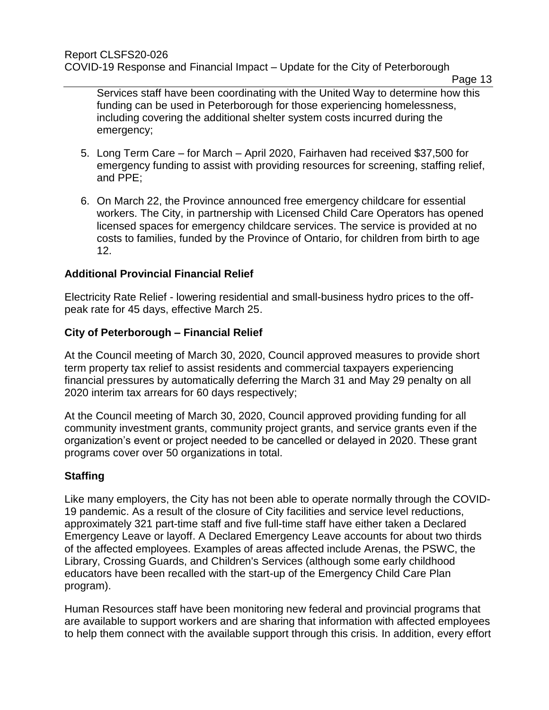Services staff have been coordinating with the United Way to determine how this funding can be used in Peterborough for those experiencing homelessness, including covering the additional shelter system costs incurred during the emergency;

- 5. Long Term Care for March April 2020, Fairhaven had received \$37,500 for emergency funding to assist with providing resources for screening, staffing relief, and PPE;
- 6. On March 22, the Province announced free emergency childcare for essential workers. The City, in partnership with Licensed Child Care Operators has opened licensed spaces for emergency childcare services. The service is provided at no costs to families, funded by the Province of Ontario, for children from birth to age 12.

# **Additional Provincial Financial Relief**

Electricity Rate Relief - lowering residential and small-business hydro prices to the offpeak rate for 45 days, effective March 25.

# **City of Peterborough – Financial Relief**

At the Council meeting of March 30, 2020, Council approved measures to provide short term property tax relief to assist residents and commercial taxpayers experiencing financial pressures by automatically deferring the March 31 and May 29 penalty on all 2020 interim tax arrears for 60 days respectively;

At the Council meeting of March 30, 2020, Council approved providing funding for all community investment grants, community project grants, and service grants even if the organization's event or project needed to be cancelled or delayed in 2020. These grant programs cover over 50 organizations in total.

# **Staffing**

Like many employers, the City has not been able to operate normally through the COVID-19 pandemic. As a result of the closure of City facilities and service level reductions, approximately 321 part-time staff and five full-time staff have either taken a Declared Emergency Leave or layoff. A Declared Emergency Leave accounts for about two thirds of the affected employees. Examples of areas affected include Arenas, the PSWC, the Library, Crossing Guards, and Children's Services (although some early childhood educators have been recalled with the start-up of the Emergency Child Care Plan program).

Human Resources staff have been monitoring new federal and provincial programs that are available to support workers and are sharing that information with affected employees to help them connect with the available support through this crisis. In addition, every effort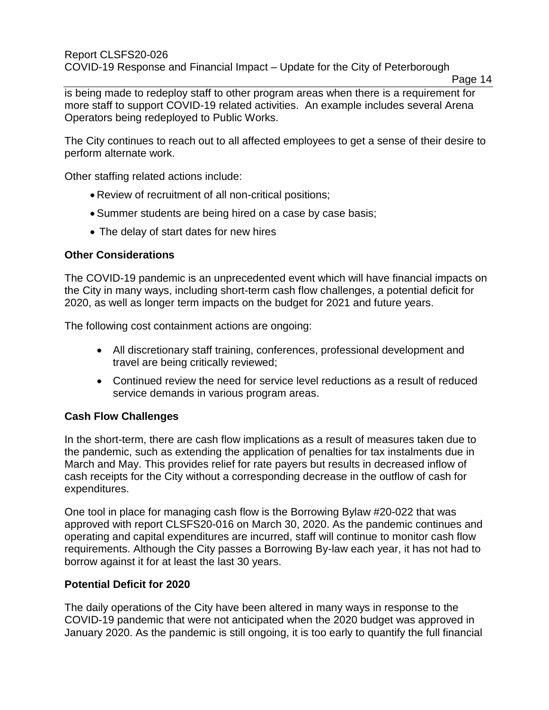#### Report CLSFS20-026 COVID-19 Response and Financial Impact – Update for the City of Peterborough

is being made to redeploy staff to other program areas when there is a requirement for more staff to support COVID-19 related activities. An example includes several Arena Operators being redeployed to Public Works.

The City continues to reach out to all affected employees to get a sense of their desire to perform alternate work.

Other staffing related actions include:

- Review of recruitment of all non-critical positions;
- Summer students are being hired on a case by case basis;
- The delay of start dates for new hires

### **Other Considerations**

The COVID-19 pandemic is an unprecedented event which will have financial impacts on the City in many ways, including short-term cash flow challenges, a potential deficit for 2020, as well as longer term impacts on the budget for 2021 and future years.

The following cost containment actions are ongoing:

- All discretionary staff training, conferences, professional development and travel are being critically reviewed;
- Continued review the need for service level reductions as a result of reduced service demands in various program areas.

# **Cash Flow Challenges**

In the short-term, there are cash flow implications as a result of measures taken due to the pandemic, such as extending the application of penalties for tax instalments due in March and May. This provides relief for rate payers but results in decreased inflow of cash receipts for the City without a corresponding decrease in the outflow of cash for expenditures.

One tool in place for managing cash flow is the Borrowing Bylaw #20-022 that was approved with report CLSFS20-016 on March 30, 2020. As the pandemic continues and operating and capital expenditures are incurred, staff will continue to monitor cash flow requirements. Although the City passes a Borrowing By-law each year, it has not had to borrow against it for at least the last 30 years.

### **Potential Deficit for 2020**

The daily operations of the City have been altered in many ways in response to the COVID-19 pandemic that were not anticipated when the 2020 budget was approved in January 2020. As the pandemic is still ongoing, it is too early to quantify the full financial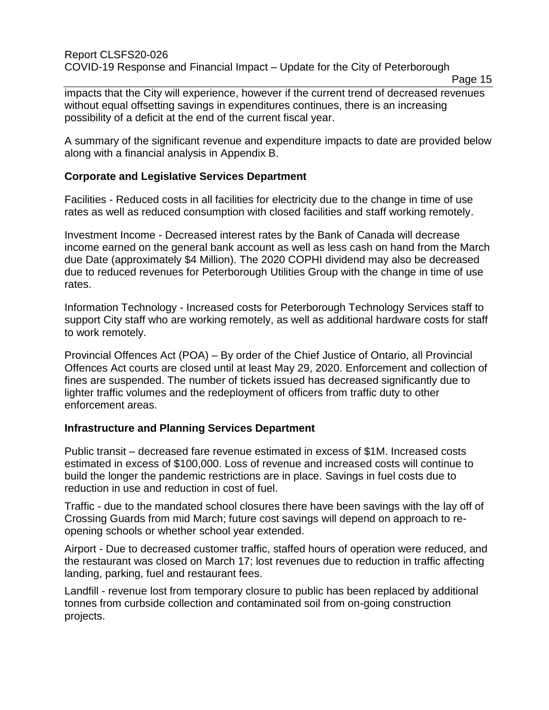impacts that the City will experience, however if the current trend of decreased revenues without equal offsetting savings in expenditures continues, there is an increasing possibility of a deficit at the end of the current fiscal year.

A summary of the significant revenue and expenditure impacts to date are provided below along with a financial analysis in Appendix B.

### **Corporate and Legislative Services Department**

Facilities - Reduced costs in all facilities for electricity due to the change in time of use rates as well as reduced consumption with closed facilities and staff working remotely.

Investment Income - Decreased interest rates by the Bank of Canada will decrease income earned on the general bank account as well as less cash on hand from the March due Date (approximately \$4 Million). The 2020 COPHI dividend may also be decreased due to reduced revenues for Peterborough Utilities Group with the change in time of use rates.

Information Technology - Increased costs for Peterborough Technology Services staff to support City staff who are working remotely, as well as additional hardware costs for staff to work remotely.

Provincial Offences Act (POA) – By order of the Chief Justice of Ontario, all Provincial Offences Act courts are closed until at least May 29, 2020. Enforcement and collection of fines are suspended. The number of tickets issued has decreased significantly due to lighter traffic volumes and the redeployment of officers from traffic duty to other enforcement areas.

### **Infrastructure and Planning Services Department**

Public transit – decreased fare revenue estimated in excess of \$1M. Increased costs estimated in excess of \$100,000. Loss of revenue and increased costs will continue to build the longer the pandemic restrictions are in place. Savings in fuel costs due to reduction in use and reduction in cost of fuel.

Traffic - due to the mandated school closures there have been savings with the lay off of Crossing Guards from mid March; future cost savings will depend on approach to reopening schools or whether school year extended.

Airport - Due to decreased customer traffic, staffed hours of operation were reduced, and the restaurant was closed on March 17; lost revenues due to reduction in traffic affecting landing, parking, fuel and restaurant fees.

Landfill - revenue lost from temporary closure to public has been replaced by additional tonnes from curbside collection and contaminated soil from on-going construction projects.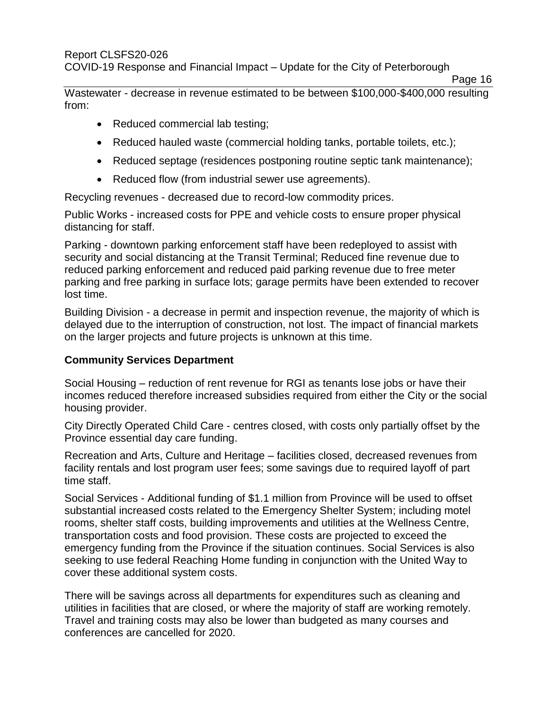Wastewater - decrease in revenue estimated to be between \$100,000-\$400,000 resulting from:

- Reduced commercial lab testing;
- Reduced hauled waste (commercial holding tanks, portable toilets, etc.);
- Reduced septage (residences postponing routine septic tank maintenance);
- Reduced flow (from industrial sewer use agreements).

Recycling revenues - decreased due to record-low commodity prices.

Public Works - increased costs for PPE and vehicle costs to ensure proper physical distancing for staff.

Parking - downtown parking enforcement staff have been redeployed to assist with security and social distancing at the Transit Terminal; Reduced fine revenue due to reduced parking enforcement and reduced paid parking revenue due to free meter parking and free parking in surface lots; garage permits have been extended to recover lost time.

Building Division - a decrease in permit and inspection revenue, the majority of which is delayed due to the interruption of construction, not lost. The impact of financial markets on the larger projects and future projects is unknown at this time.

# **Community Services Department**

Social Housing – reduction of rent revenue for RGI as tenants lose jobs or have their incomes reduced therefore increased subsidies required from either the City or the social housing provider.

City Directly Operated Child Care - centres closed, with costs only partially offset by the Province essential day care funding.

Recreation and Arts, Culture and Heritage – facilities closed, decreased revenues from facility rentals and lost program user fees; some savings due to required layoff of part time staff.

Social Services - Additional funding of \$1.1 million from Province will be used to offset substantial increased costs related to the Emergency Shelter System; including motel rooms, shelter staff costs, building improvements and utilities at the Wellness Centre, transportation costs and food provision. These costs are projected to exceed the emergency funding from the Province if the situation continues. Social Services is also seeking to use federal Reaching Home funding in conjunction with the United Way to cover these additional system costs.

There will be savings across all departments for expenditures such as cleaning and utilities in facilities that are closed, or where the majority of staff are working remotely. Travel and training costs may also be lower than budgeted as many courses and conferences are cancelled for 2020.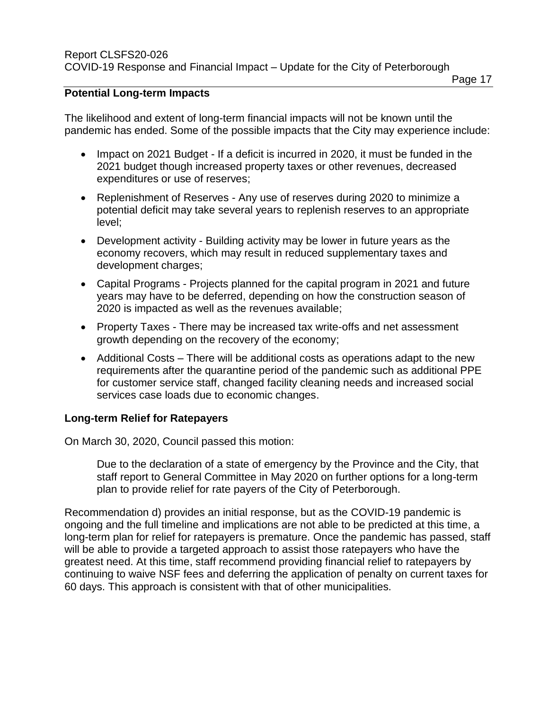#### Page 17

### **Potential Long-term Impacts**

The likelihood and extent of long-term financial impacts will not be known until the pandemic has ended. Some of the possible impacts that the City may experience include:

- Impact on 2021 Budget If a deficit is incurred in 2020, it must be funded in the 2021 budget though increased property taxes or other revenues, decreased expenditures or use of reserves;
- Replenishment of Reserves Any use of reserves during 2020 to minimize a potential deficit may take several years to replenish reserves to an appropriate level;
- Development activity Building activity may be lower in future years as the economy recovers, which may result in reduced supplementary taxes and development charges;
- Capital Programs Projects planned for the capital program in 2021 and future years may have to be deferred, depending on how the construction season of 2020 is impacted as well as the revenues available;
- Property Taxes There may be increased tax write-offs and net assessment growth depending on the recovery of the economy;
- Additional Costs There will be additional costs as operations adapt to the new requirements after the quarantine period of the pandemic such as additional PPE for customer service staff, changed facility cleaning needs and increased social services case loads due to economic changes.

### **Long-term Relief for Ratepayers**

On March 30, 2020, Council passed this motion:

Due to the declaration of a state of emergency by the Province and the City, that staff report to General Committee in May 2020 on further options for a long-term plan to provide relief for rate payers of the City of Peterborough.

Recommendation d) provides an initial response, but as the COVID-19 pandemic is ongoing and the full timeline and implications are not able to be predicted at this time, a long-term plan for relief for ratepayers is premature. Once the pandemic has passed, staff will be able to provide a targeted approach to assist those ratepayers who have the greatest need. At this time, staff recommend providing financial relief to ratepayers by continuing to waive NSF fees and deferring the application of penalty on current taxes for 60 days. This approach is consistent with that of other municipalities.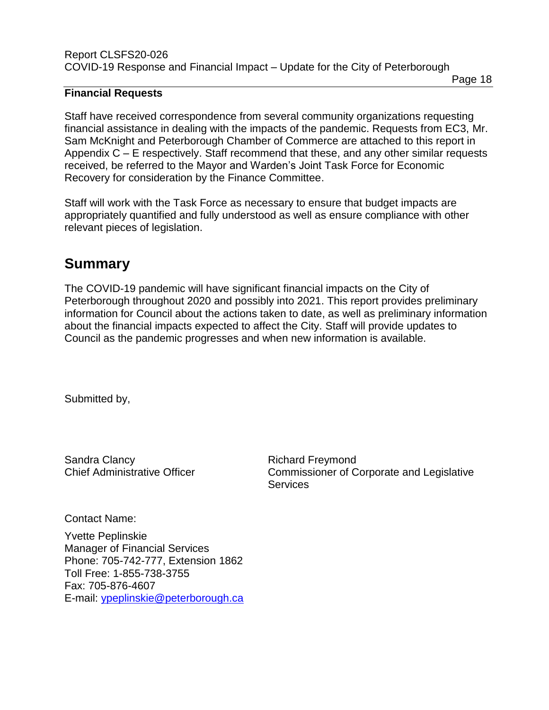#### **Financial Requests**

Staff have received correspondence from several community organizations requesting financial assistance in dealing with the impacts of the pandemic. Requests from EC3, Mr. Sam McKnight and Peterborough Chamber of Commerce are attached to this report in Appendix C – E respectively. Staff recommend that these, and any other similar requests received, be referred to the Mayor and Warden's Joint Task Force for Economic Recovery for consideration by the Finance Committee.

Staff will work with the Task Force as necessary to ensure that budget impacts are appropriately quantified and fully understood as well as ensure compliance with other relevant pieces of legislation.

# **Summary**

The COVID-19 pandemic will have significant financial impacts on the City of Peterborough throughout 2020 and possibly into 2021. This report provides preliminary information for Council about the actions taken to date, as well as preliminary information about the financial impacts expected to affect the City. Staff will provide updates to Council as the pandemic progresses and when new information is available.

Submitted by,

Sandra Clancy **Richard Freymond** 

Chief Administrative Officer Commissioner of Corporate and Legislative

Page 18

Contact Name:

Yvette Peplinskie Manager of Financial Services Phone: 705-742-777, Extension 1862 Toll Free: 1-855-738-3755 Fax: 705-876-4607 E-mail: [ypeplinskie@peterborough.ca](mailto:ypeplinskie@peterborough.ca) **Services**